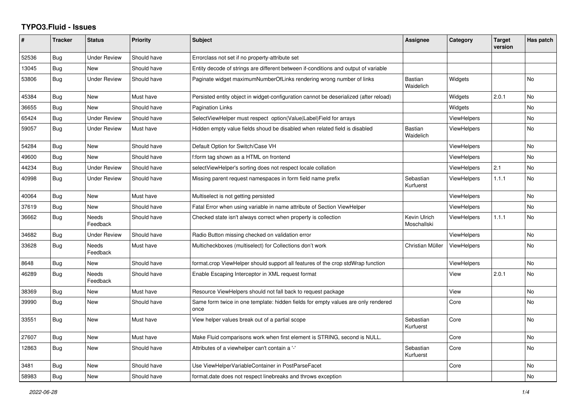## **TYPO3.Fluid - Issues**

| #     | <b>Tracker</b> | <b>Status</b>            | <b>Priority</b> | <b>Subject</b>                                                                            | Assignee                    | Category           | <b>Target</b><br>version | Has patch      |
|-------|----------------|--------------------------|-----------------|-------------------------------------------------------------------------------------------|-----------------------------|--------------------|--------------------------|----------------|
| 52536 | Bug            | <b>Under Review</b>      | Should have     | Errorclass not set if no property-attribute set                                           |                             |                    |                          |                |
| 13045 | <b>Bug</b>     | <b>New</b>               | Should have     | Entity decode of strings are different between if-conditions and output of variable       |                             |                    |                          |                |
| 53806 | Bug            | <b>Under Review</b>      | Should have     | Paginate widget maximumNumberOfLinks rendering wrong number of links                      | Bastian<br>Waidelich        | Widgets            |                          | <b>No</b>      |
| 45384 | <b>Bug</b>     | <b>New</b>               | Must have       | Persisted entity object in widget-configuration cannot be deserialized (after reload)     |                             | Widgets            | 2.0.1                    | N <sub>o</sub> |
| 36655 | Bug            | <b>New</b>               | Should have     | <b>Pagination Links</b>                                                                   |                             | Widgets            |                          | <b>No</b>      |
| 65424 | Bug            | <b>Under Review</b>      | Should have     | SelectViewHelper must respect option(Value Label)Field for arrays                         |                             | <b>ViewHelpers</b> |                          | <b>No</b>      |
| 59057 | Bug            | <b>Under Review</b>      | Must have       | Hidden empty value fields shoud be disabled when related field is disabled                | <b>Bastian</b><br>Waidelich | <b>ViewHelpers</b> |                          | <b>No</b>      |
| 54284 | Bug            | New                      | Should have     | Default Option for Switch/Case VH                                                         |                             | <b>ViewHelpers</b> |                          | No             |
| 49600 | Bug            | <b>New</b>               | Should have     | f:form tag shown as a HTML on frontend                                                    |                             | <b>ViewHelpers</b> |                          | <b>No</b>      |
| 44234 | Bug            | <b>Under Review</b>      | Should have     | selectViewHelper's sorting does not respect locale collation                              |                             | ViewHelpers        | 2.1                      | <b>No</b>      |
| 40998 | Bug            | <b>Under Review</b>      | Should have     | Missing parent request namespaces in form field name prefix                               | Sebastian<br>Kurfuerst      | <b>ViewHelpers</b> | 1.1.1                    | <b>No</b>      |
| 40064 | Bug            | New                      | Must have       | Multiselect is not getting persisted                                                      |                             | <b>ViewHelpers</b> |                          | No             |
| 37619 | <b>Bug</b>     | <b>New</b>               | Should have     | Fatal Error when using variable in name attribute of Section ViewHelper                   |                             | <b>ViewHelpers</b> |                          | <b>No</b>      |
| 36662 | Bug            | Needs<br>Feedback        | Should have     | Checked state isn't always correct when property is collection                            | Kevin Ulrich<br>Moschallski | ViewHelpers        | 1.1.1                    | <b>No</b>      |
| 34682 | <b>Bug</b>     | Under Review             | Should have     | Radio Button missing checked on validation error                                          |                             | <b>ViewHelpers</b> |                          | <b>No</b>      |
| 33628 | Bug            | <b>Needs</b><br>Feedback | Must have       | Multicheckboxes (multiselect) for Collections don't work                                  | Christian Müller            | ViewHelpers        |                          | <b>No</b>      |
| 8648  | <b>Bug</b>     | New                      | Should have     | format.crop ViewHelper should support all features of the crop stdWrap function           |                             | ViewHelpers        |                          | <b>No</b>      |
| 46289 | Bug            | <b>Needs</b><br>Feedback | Should have     | Enable Escaping Interceptor in XML request format                                         |                             | View               | 2.0.1                    | No             |
| 38369 | <b>Bug</b>     | New                      | Must have       | Resource ViewHelpers should not fall back to request package                              |                             | View               |                          | N <sub>o</sub> |
| 39990 | Bug            | <b>New</b>               | Should have     | Same form twice in one template: hidden fields for empty values are only rendered<br>once |                             | Core               |                          | <b>No</b>      |
| 33551 | <b>Bug</b>     | New                      | Must have       | View helper values break out of a partial scope                                           | Sebastian<br>Kurfuerst      | Core               |                          | No             |
| 27607 | Bug            | New                      | Must have       | Make Fluid comparisons work when first element is STRING, second is NULL.                 |                             | Core               |                          | No             |
| 12863 | Bug            | New                      | Should have     | Attributes of a viewhelper can't contain a '-'                                            | Sebastian<br>Kurfuerst      | Core               |                          | No             |
| 3481  | Bug            | <b>New</b>               | Should have     | Use ViewHelperVariableContainer in PostParseFacet                                         |                             | Core               |                          | <b>No</b>      |
| 58983 | <b>Bug</b>     | New                      | Should have     | format.date does not respect linebreaks and throws exception                              |                             |                    |                          | No             |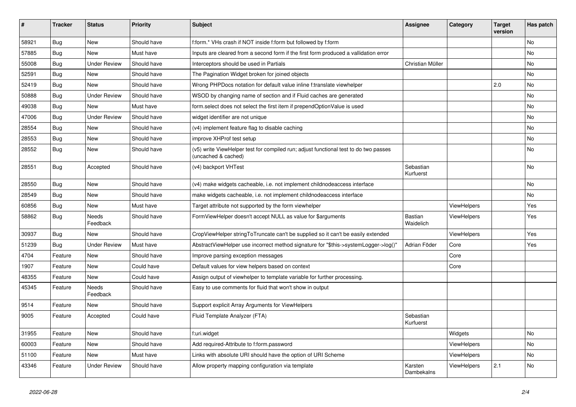| #     | <b>Tracker</b> | <b>Status</b>            | <b>Priority</b> | <b>Subject</b>                                                                                              | Assignee               | Category    | <b>Target</b><br>version | Has patch |
|-------|----------------|--------------------------|-----------------|-------------------------------------------------------------------------------------------------------------|------------------------|-------------|--------------------------|-----------|
| 58921 | Bug            | <b>New</b>               | Should have     | f:form.* VHs crash if NOT inside f:form but followed by f:form                                              |                        |             |                          | <b>No</b> |
| 57885 | Bug            | New                      | Must have       | Inputs are cleared from a second form if the first form produced a vallidation error                        |                        |             |                          | No        |
| 55008 | <b>Bug</b>     | <b>Under Review</b>      | Should have     | Interceptors should be used in Partials                                                                     | Christian Müller       |             |                          | No        |
| 52591 | Bug            | <b>New</b>               | Should have     | The Pagination Widget broken for joined objects                                                             |                        |             |                          | No        |
| 52419 | <b>Bug</b>     | <b>New</b>               | Should have     | Wrong PHPDocs notation for default value inline f:translate viewhelper                                      |                        |             | 2.0                      | No        |
| 50888 | Bug            | Under Review             | Should have     | WSOD by changing name of section and if Fluid caches are generated                                          |                        |             |                          | <b>No</b> |
| 49038 | <b>Bug</b>     | <b>New</b>               | Must have       | form.select does not select the first item if prependOptionValue is used                                    |                        |             |                          | No        |
| 47006 | Bug            | <b>Under Review</b>      | Should have     | widget identifier are not unique                                                                            |                        |             |                          | <b>No</b> |
| 28554 | <b>Bug</b>     | <b>New</b>               | Should have     | (v4) implement feature flag to disable caching                                                              |                        |             |                          | No        |
| 28553 | Bug            | <b>New</b>               | Should have     | improve XHProf test setup                                                                                   |                        |             |                          | No        |
| 28552 | Bug            | New                      | Should have     | (v5) write ViewHelper test for compiled run; adjust functional test to do two passes<br>(uncached & cached) |                        |             |                          | No        |
| 28551 | Bug            | Accepted                 | Should have     | (v4) backport VHTest                                                                                        | Sebastian<br>Kurfuerst |             |                          | No        |
| 28550 | Bug            | <b>New</b>               | Should have     | (v4) make widgets cacheable, i.e. not implement childnodeaccess interface                                   |                        |             |                          | <b>No</b> |
| 28549 | <b>Bug</b>     | <b>New</b>               | Should have     | make widgets cacheable, i.e. not implement childnodeaccess interface                                        |                        |             |                          | <b>No</b> |
| 60856 | Bug            | New                      | Must have       | Target attribute not supported by the form viewhelper                                                       |                        | ViewHelpers |                          | Yes       |
| 58862 | Bug            | <b>Needs</b><br>Feedback | Should have     | FormViewHelper doesn't accept NULL as value for \$arguments                                                 | Bastian<br>Waidelich   | ViewHelpers |                          | Yes       |
| 30937 | Bug            | New                      | Should have     | CropViewHelper stringToTruncate can't be supplied so it can't be easily extended                            |                        | ViewHelpers |                          | Yes       |
| 51239 | Bug            | <b>Under Review</b>      | Must have       | AbstractViewHelper use incorrect method signature for "\$this->systemLogger->log()"                         | Adrian Föder           | Core        |                          | Yes       |
| 4704  | Feature        | New                      | Should have     | Improve parsing exception messages                                                                          |                        | Core        |                          |           |
| 1907  | Feature        | New                      | Could have      | Default values for view helpers based on context                                                            |                        | Core        |                          |           |
| 48355 | Feature        | New                      | Could have      | Assign output of viewhelper to template variable for further processing.                                    |                        |             |                          |           |
| 45345 | Feature        | Needs<br>Feedback        | Should have     | Easy to use comments for fluid that won't show in output                                                    |                        |             |                          |           |
| 9514  | Feature        | <b>New</b>               | Should have     | Support explicit Array Arguments for ViewHelpers                                                            |                        |             |                          |           |
| 9005  | Feature        | Accepted                 | Could have      | Fluid Template Analyzer (FTA)                                                                               | Sebastian<br>Kurfuerst |             |                          |           |
| 31955 | Feature        | <b>New</b>               | Should have     | f:uri.widget                                                                                                |                        | Widgets     |                          | <b>No</b> |
| 60003 | Feature        | <b>New</b>               | Should have     | Add required-Attribute to f:form.password                                                                   |                        | ViewHelpers |                          | No        |
| 51100 | Feature        | <b>New</b>               | Must have       | Links with absolute URI should have the option of URI Scheme                                                |                        | ViewHelpers |                          | No        |
| 43346 | Feature        | <b>Under Review</b>      | Should have     | Allow property mapping configuration via template                                                           | Karsten<br>Dambekalns  | ViewHelpers | 2.1                      | <b>No</b> |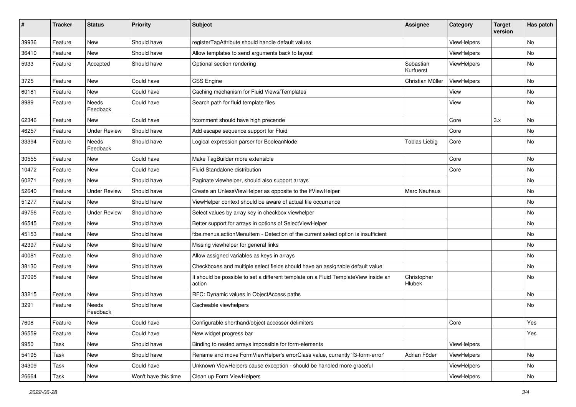| #     | <b>Tracker</b> | <b>Status</b>       | <b>Priority</b>      | Subject                                                                                       | <b>Assignee</b>        | Category    | <b>Target</b><br>version | Has patch |
|-------|----------------|---------------------|----------------------|-----------------------------------------------------------------------------------------------|------------------------|-------------|--------------------------|-----------|
| 39936 | Feature        | New                 | Should have          | registerTagAttribute should handle default values                                             |                        | ViewHelpers |                          | <b>No</b> |
| 36410 | Feature        | <b>New</b>          | Should have          | Allow templates to send arguments back to layout                                              |                        | ViewHelpers |                          | No        |
| 5933  | Feature        | Accepted            | Should have          | Optional section rendering                                                                    | Sebastian<br>Kurfuerst | ViewHelpers |                          | No        |
| 3725  | Feature        | New                 | Could have           | CSS Engine                                                                                    | Christian Müller       | ViewHelpers |                          | No        |
| 60181 | Feature        | New                 | Could have           | Caching mechanism for Fluid Views/Templates                                                   |                        | View        |                          | No        |
| 8989  | Feature        | Needs<br>Feedback   | Could have           | Search path for fluid template files                                                          |                        | View        |                          | No        |
| 62346 | Feature        | New                 | Could have           | f:comment should have high precende                                                           |                        | Core        | 3.x                      | No        |
| 46257 | Feature        | <b>Under Review</b> | Should have          | Add escape sequence support for Fluid                                                         |                        | Core        |                          | No        |
| 33394 | Feature        | Needs<br>Feedback   | Should have          | Logical expression parser for BooleanNode                                                     | <b>Tobias Liebig</b>   | Core        |                          | No        |
| 30555 | Feature        | New                 | Could have           | Make TagBuilder more extensible                                                               |                        | Core        |                          | No        |
| 10472 | Feature        | <b>New</b>          | Could have           | Fluid Standalone distribution                                                                 |                        | Core        |                          | No        |
| 60271 | Feature        | New                 | Should have          | Paginate viewhelper, should also support arrays                                               |                        |             |                          | No        |
| 52640 | Feature        | <b>Under Review</b> | Should have          | Create an UnlessViewHelper as opposite to the IfViewHelper                                    | Marc Neuhaus           |             |                          | No        |
| 51277 | Feature        | New                 | Should have          | ViewHelper context should be aware of actual file occurrence                                  |                        |             |                          | No        |
| 49756 | Feature        | <b>Under Review</b> | Should have          | Select values by array key in checkbox viewhelper                                             |                        |             |                          | No        |
| 46545 | Feature        | New                 | Should have          | Better support for arrays in options of SelectViewHelper                                      |                        |             |                          | No        |
| 45153 | Feature        | New                 | Should have          | f:be.menus.actionMenuItem - Detection of the current select option is insufficient            |                        |             |                          | No        |
| 42397 | Feature        | New                 | Should have          | Missing viewhelper for general links                                                          |                        |             |                          | No        |
| 40081 | Feature        | New                 | Should have          | Allow assigned variables as keys in arrays                                                    |                        |             |                          | No        |
| 38130 | Feature        | New                 | Should have          | Checkboxes and multiple select fields should have an assignable default value                 |                        |             |                          | No        |
| 37095 | Feature        | New                 | Should have          | It should be possible to set a different template on a Fluid TemplateView inside an<br>action | Christopher<br>Hlubek  |             |                          | No        |
| 33215 | Feature        | New                 | Should have          | RFC: Dynamic values in ObjectAccess paths                                                     |                        |             |                          | No        |
| 3291  | Feature        | Needs<br>Feedback   | Should have          | Cacheable viewhelpers                                                                         |                        |             |                          | No        |
| 7608  | Feature        | New                 | Could have           | Configurable shorthand/object accessor delimiters                                             |                        | Core        |                          | Yes       |
| 36559 | Feature        | New                 | Could have           | New widget progress bar                                                                       |                        |             |                          | Yes       |
| 9950  | Task           | New                 | Should have          | Binding to nested arrays impossible for form-elements                                         |                        | ViewHelpers |                          |           |
| 54195 | Task           | New                 | Should have          | Rename and move FormViewHelper's errorClass value, currently 'f3-form-error'                  | Adrian Föder           | ViewHelpers |                          | No        |
| 34309 | Task           | New                 | Could have           | Unknown ViewHelpers cause exception - should be handled more graceful                         |                        | ViewHelpers |                          | No        |
| 26664 | Task           | New                 | Won't have this time | Clean up Form ViewHelpers                                                                     |                        | ViewHelpers |                          | No        |